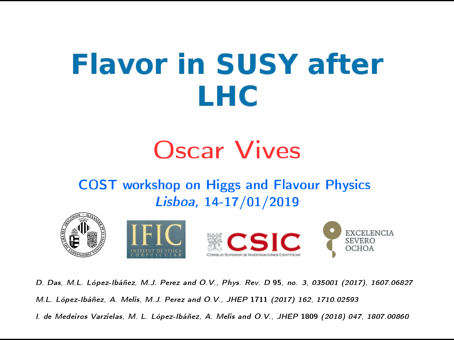# **Flavor in SUSY after** LHC

# Oscar Vives

#### COST workshop on Higgs and Flavour Physics Lisboa, 14-17/01/2019



D. Das, M.L. López-Ibáñez, M.J. Perez and O.V., Phys. Rev. D 95, no. 3, 035001 (2017), 1607.06827 M.L. López-Ibáñez, A. Melis, M.J. Perez and O.V., JHEP 1711 (2017) 162, 1710.02593 I. de Medeiros Varzielas, M. L. López-Ibáñez, A. Melis and O.V., JHEP 1809 (2018) 047, 1807.00860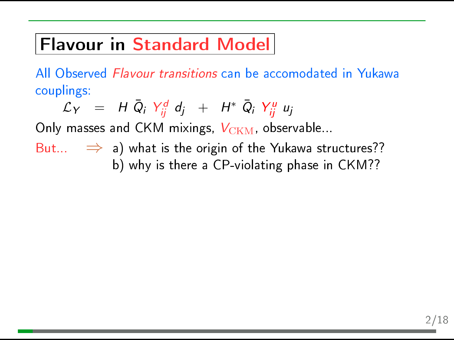# Flavour in Standard Model

All Observed Flavour transitions can be accomodated in Yukawa couplings:

 $\mathcal{L}_Y$  = H  $\bar{Q}_i$   $Y_{ij}^d$  d<sub>j</sub> + H\*  $\bar{Q}_i$   $Y_{ij}^u$  u<sub>j</sub>

Only masses and CKM mixings,  $V_{\text{CKM}}$ , observable...

But...  $\Rightarrow$  a) what is the origin of the Yukawa structures?? b) why is there a CP-violating phase in CKM??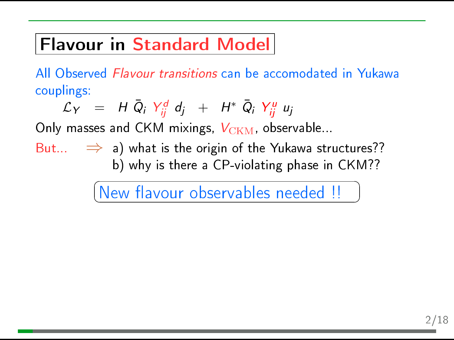# Flavour in Standard Model

All Observed Flavour transitions can be accomodated in Yukawa couplings:

$$
\mathcal{L}_Y = H \bar{Q}_i Y_{ij}^d d_j + H^* \bar{Q}_i Y_{ij}^u u_j
$$

Only masses and CKM mixings,  $V_{\text{CKM}}$ , observable...

But...  $\Rightarrow$  a) what is the origin of the Yukawa structures?? b) why is there a CP-violating phase in CKM??

> $\sqrt{2}$  $(\begin{bmatrix} {\rm New\ flavor\ ur\ observables\ needed} \end{bmatrix} )$

 $\mathbf{a}$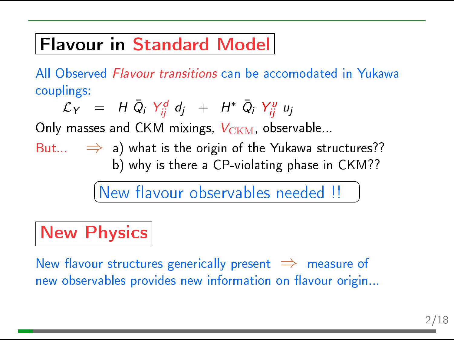# Flavour in Standard Model

All Observed Flavour transitions can be accomodated in Yukawa couplings:

$$
\mathcal{L}_Y = H \bar{Q}_i Y_{ij}^d d_j + H^* \bar{Q}_i Y_{ij}^u u_j
$$

Only masses and CKM mixings,  $V_{\text{CKM}}$ , observable...

But...  $\Rightarrow$  a) what is the origin of the Yukawa structures?? b) why is there a CP-violating phase in CKM??

> $\sqrt{2}$  $(\begin{bmatrix} {\rm New\ flavor\ ur\ observables\ needed} \end{bmatrix} )$

# **New Physics**

New flavour structures generically present  $\Rightarrow$  measure of new observables provides new information on flavour origin...

 $\mathbf{a}$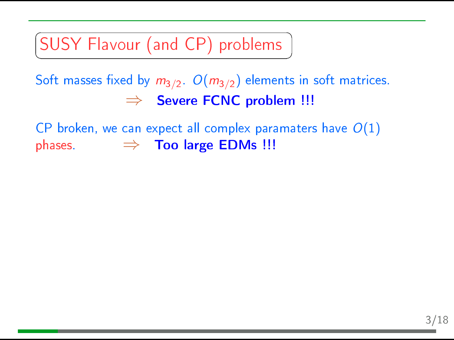SUSY Flavour (and CP) problems ✝

Soft masses fixed by  $m_{3/2}$ .  $O(m_{3/2})$  elements in soft matrices.  $\Rightarrow$  Severe FCNC problem !!!

☎

✆

CP broken, we can expect all complex paramaters have  $O(1)$ phases.  $\Rightarrow$  Too large EDMs !!!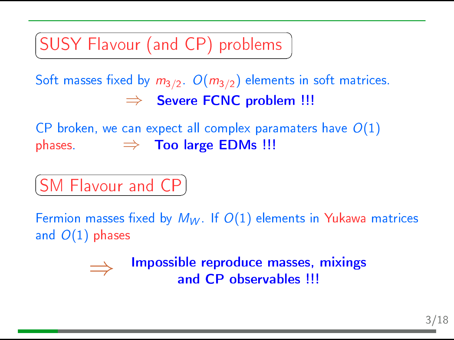SUSY Flavour (and CP) problems ✝

Soft masses fixed by  $m_{3/2}$ .  $O(m_{3/2})$  elements in soft matrices.  $\Rightarrow$  Severe FCNC problem !!!

☎

✆

CP broken, we can expect all complex paramaters have  $O(1)$ phases.  $\Rightarrow$  Too large EDMs !!!

 $\overline{G}$  $(SM$  Flavour and  $CP$ ☎

Fermion masses fixed by  $M_W$ . If  $O(1)$  elements in Yukawa matrices and  $O(1)$  phases

> Impossible reproduce masses, mixings and CP observables !!!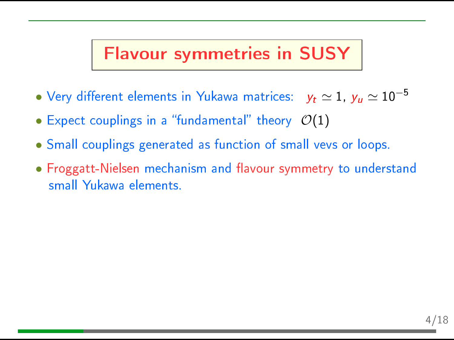#### Flavour symmetries in SUSY

- Very different elements in Yukawa matrices:  $y_t \simeq 1$ ,  $y_u \simeq 10^{-5}$
- Expect couplings in a "fundamental" theory  $\mathcal{O}(1)$
- Small couplings generated as function of small vevs or loops.
- Froggatt-Nielsen mechanism and flavour symmetry to understand small Yukawa elements.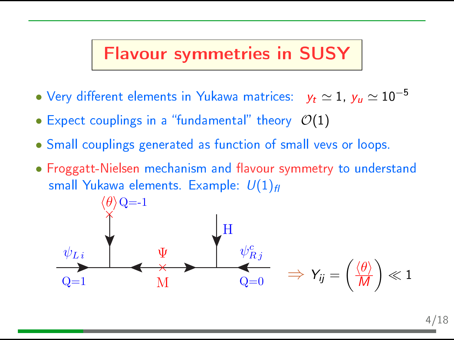### Flavour symmetries in SUSY

- Very different elements in Yukawa matrices:  $y_t \simeq 1$ ,  $y_u \simeq 10^{-5}$
- Expect couplings in a "fundamental" theory  $\mathcal{O}(1)$
- Small couplings generated as function of small vevs or loops.
- Froggatt-Nielsen mechanism and flavour symmetry to understand small Yukawa elements. Example:  $U(1)_H$

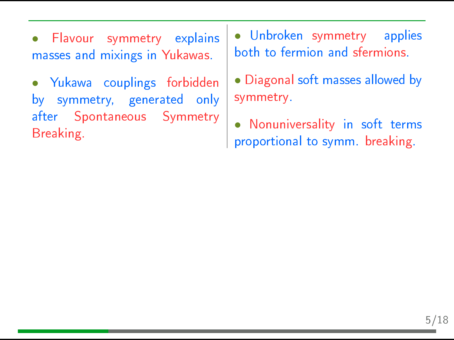• Flavour symmetry explains masses and mixings in Yukawas.

• Yukawa couplings forbidden by symmetry, generated only after Spontaneous Symmetry Breaking.

• Unbroken symmetry applies both to fermion and sfermions.

• Diagonal soft masses allowed by symmetry.

• Nonuniversality in soft terms proportional to symm. breaking.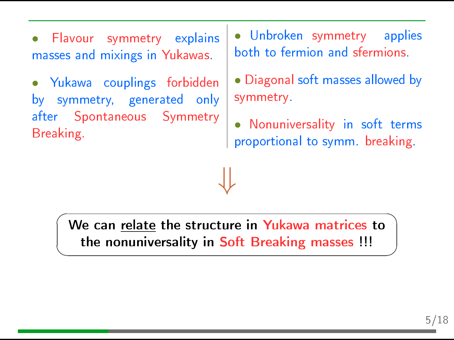• Flavour symmetry explains masses and mixings in Yukawas.

• Yukawa couplings forbidden by symmetry, generated only after Spontaneous Symmetry Breaking.

✍

• Unbroken symmetry applies both to fermion and sfermions.

• Diagonal soft masses allowed by symmetry.

Nonuniversality in soft terms proportional to symm. breaking.

 $\sqrt{2}$ We can relate the structure in Yukawa matrices to the nonuniversality in Soft Breaking masses !!!

⇓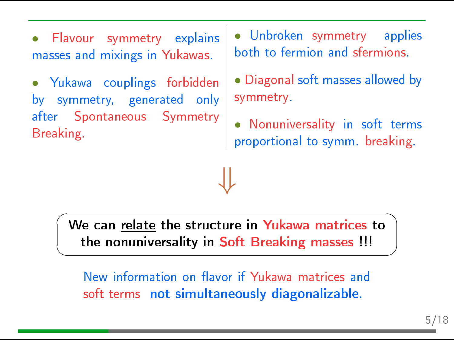• Flavour symmetry explains masses and mixings in Yukawas.

• Yukawa couplings forbidden by symmetry, generated only after Spontaneous Symmetry Breaking.

• Unbroken symmetry applies both to fermion and sfermions.

• Diagonal soft masses allowed by symmetry.

Nonuniversality in soft terms proportional to symm. breaking.

 $\sqrt{2}$ ✍ We can <u>relate</u> the structure in <mark>Yukawa matrices</mark> to the nonuniversality in Soft Breaking masses !!!

⇓

New information on flavor if Yukawa matrices and soft terms not simultaneously diagonalizable.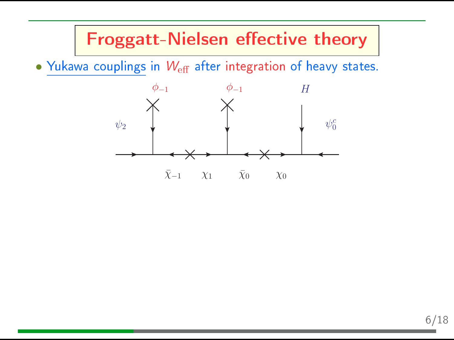• Yukawa couplings in  $W_{\text{eff}}$  after integration of heavy states.

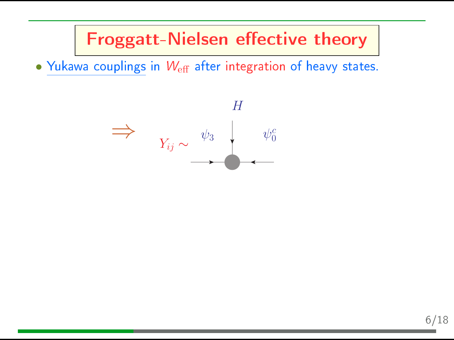• Yukawa couplings in  $W_{\text{eff}}$  after integration of heavy states.

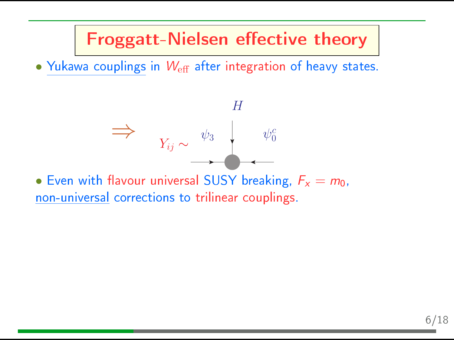• Yukawa couplings in  $W_{\text{eff}}$  after integration of heavy states.

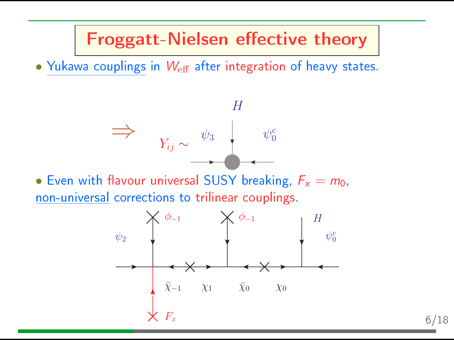• Yukawa couplings in  $W_{\text{eff}}$  after integration of heavy states.



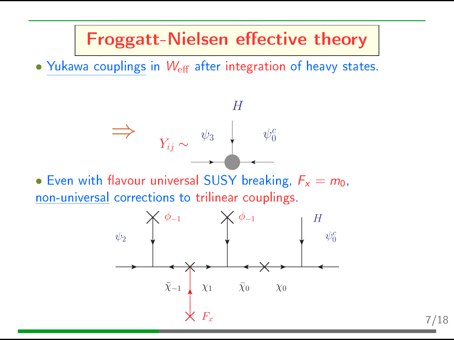• Yukawa couplings in  $W_{\text{eff}}$  after integration of heavy states.



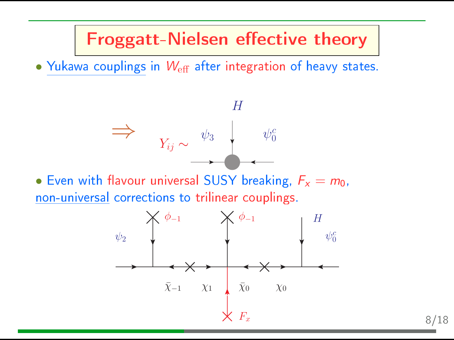• Yukawa couplings in  $W_{\text{eff}}$  after integration of heavy states.



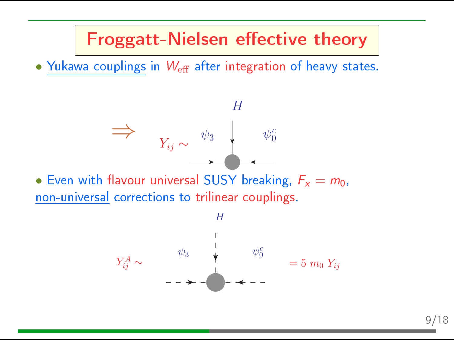• Yukawa couplings in  $W_{\text{eff}}$  after integration of heavy states.



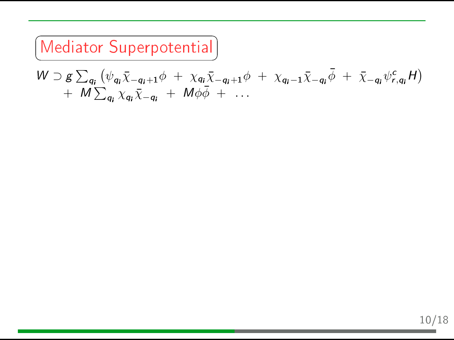$\subset$ ✝ Mediator Superpotential

$$
W \supset g \sum_{q_i} (\psi_{q_i} \bar{\chi}_{-q_i+1} \phi + \chi_{q_i} \bar{\chi}_{-q_i+1} \phi + \chi_{q_i-1} \bar{\chi}_{-q_i} \bar{\phi} + \bar{\chi}_{-q_i} \psi_{r,q_i}^c H) + M \sum_{q_i} \chi_{q_i} \bar{\chi}_{-q_i} + M \phi \bar{\phi} + \dots
$$

✆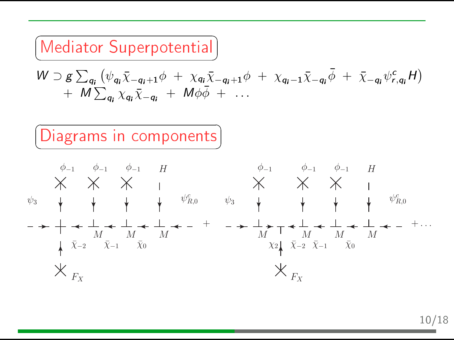### Mediator Superpotential ✝

$$
W \supset g \sum_{q_i} (\psi_{q_i} \bar{\chi}_{-q_i+1} \phi + \chi_{q_i} \bar{\chi}_{-q_i+1} \phi + \chi_{q_i-1} \bar{\chi}_{-q_i} \bar{\phi} + \bar{\chi}_{-q_i} \psi_{r,q_i}^c H) + M \sum_{q_i} \chi_{q_i} \bar{\chi}_{-q_i} + M \phi \bar{\phi} + \dots
$$

☎ ✆



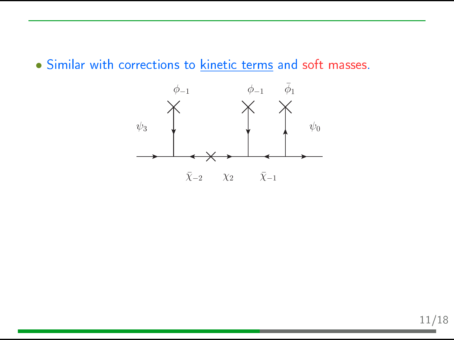• Similar with corrections to kinetic terms and soft masses.

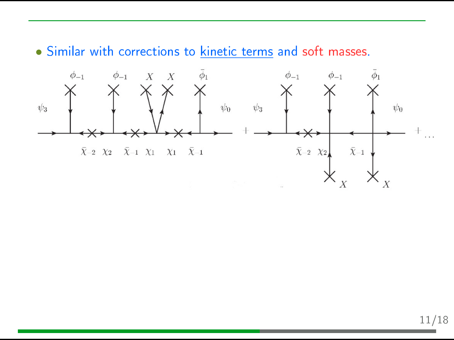• Similar with corrections to kinetic terms and soft masses.

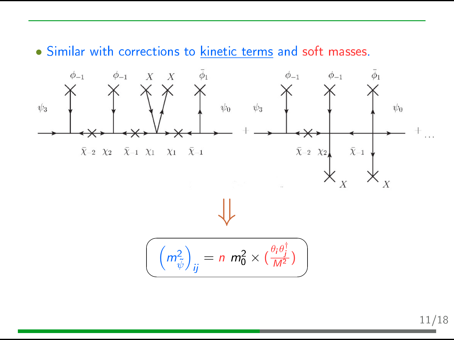• Similar with corrections to kinetic terms and soft masses.



11/18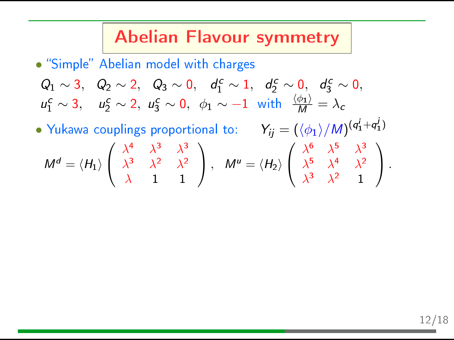#### Abelian Flavour symmetry

• "Simple" Abelian model with charges

$$
Q_1 \sim 3
$$
,  $Q_2 \sim 2$ ,  $Q_3 \sim 0$ ,  $d_1^c \sim 1$ ,  $d_2^c \sim 0$ ,  $d_3^c \sim 0$ ,  
\n $u_1^c \sim 3$ ,  $u_2^c \sim 2$ ,  $u_3^c \sim 0$ ,  $\phi_1 \sim -1$  with  $\frac{\langle \phi_1 \rangle}{M} = \lambda_c$ 

• Yukawa couplings proportional to:  $Y_{ij} = (\langle \phi_1 \rangle / M)^{(q_1^i + q_1^j)}$  $M^d = \langle H_1 \rangle$  $\sqrt{ }$  $\mathcal{L}$  $\lambda^4$   $\lambda^3$   $\lambda^3$  $\lambda^3$   $\lambda^2$   $\lambda^2$  $\lambda$  1 1  $\setminus$  $\bigg\}$ ,  $M^u = \langle H_2 \rangle$  $\sqrt{ }$  $\mathcal{L}$  $\lambda^6$   $\lambda^5$   $\lambda^3$  $\lambda^5$   $\lambda^4$   $\lambda^2$  $\lambda^3$   $\lambda^2$  1  $\setminus$  $\vert \cdot$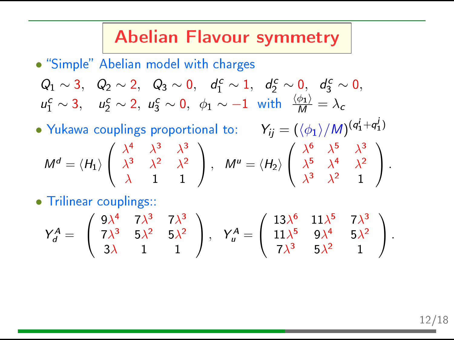#### Abelian Flavour symmetry

• "Simple" Abelian model with charges

$$
Q_1 \sim 3
$$
,  $Q_2 \sim 2$ ,  $Q_3 \sim 0$ ,  $d_1^c \sim 1$ ,  $d_2^c \sim 0$ ,  $d_3^c \sim 0$ ,   
\n $u_1^c \sim 3$ ,  $u_2^c \sim 2$ ,  $u_3^c \sim 0$ ,  $\phi_1 \sim -1$  with  $\frac{\langle \phi_1 \rangle}{M} = \lambda_c$ 

• Yukawa couplings proportional to:  $Y_{ij} = (\langle \phi_1 \rangle / M)^{(q_1^i + q_1^j)}$  $M^d = \langle H_1 \rangle$  $\sqrt{ }$  $\mathcal{L}$  $\lambda^4$   $\lambda^3$   $\lambda^3$  $\lambda^3$   $\lambda^2$   $\lambda^2$  $\lambda$  1 1  $\setminus$  $\bigg\}$ ,  $M^u = \langle H_2 \rangle$  $\sqrt{ }$  $\mathcal{L}$  $\lambda^6$   $\lambda^5$   $\lambda^3$  $\lambda^5$   $\lambda^4$   $\lambda^2$  $\lambda^3$   $\lambda^2$  1  $\setminus$  $\vert \cdot$ 

• Trilinear couplings::

$$
Y_d^A=\left(\begin{array}{ccc}9\lambda^4&7\lambda^3&7\lambda^3\\7\lambda^3&5\lambda^2&5\lambda^2\\3\lambda&1&1\end{array}\right),\quad Y_u^A=\left(\begin{array}{ccc}13\lambda^6&11\lambda^5&7\lambda^3\\11\lambda^5&9\lambda^4&5\lambda^2\\7\lambda^3&5\lambda^2&1\end{array}\right).
$$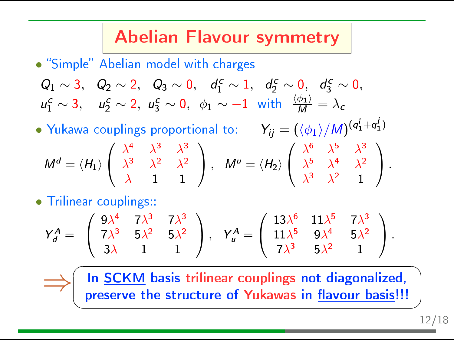## Abelian Flavour symmetry

• "Simple" Abelian model with charges

$$
Q_1 \sim 3
$$
,  $Q_2 \sim 2$ ,  $Q_3 \sim 0$ ,  $d_1^c \sim 1$ ,  $d_2^c \sim 0$ ,  $d_3^c \sim 0$ ,  
\n $u_1^c \sim 3$ ,  $u_2^c \sim 2$ ,  $u_3^c \sim 0$ ,  $\phi_1 \sim -1$  with  $\frac{\langle \phi_1 \rangle}{M} = \lambda_c$ 

- Yukawa couplings proportional to:  $Y_{ij} = (\langle \phi_1 \rangle / M)^{(q_1^i + q_1^j)}$  $M^d = \langle H_1 \rangle$  $\sqrt{ }$  $\mathcal{L}$  $\lambda^4$   $\lambda^3$   $\lambda^3$  $\lambda^3$   $\lambda^2$   $\lambda^2$  $\lambda$  1 1  $\setminus$  $\bigg\}$ ,  $M^u = \langle H_2 \rangle$  $\sqrt{ }$  $\mathcal{L}$  $\lambda^6$   $\lambda^5$   $\lambda^3$  $\lambda^5$   $\lambda^4$   $\lambda^2$  $\lambda^3$   $\lambda^2$  1  $\setminus$  $\vert \cdot$
- Trilinear couplings::

⇒

$$
Y_d^A=\left(\begin{array}{ccc}9\lambda^4 & 7\lambda^3 & 7\lambda^3 \\ 7\lambda^3 & 5\lambda^2 & 5\lambda^2 \\ 3\lambda & 1 & 1\end{array}\right),\quad Y_u^A=\left(\begin{array}{ccc}13\lambda^6 & 11\lambda^5 & 7\lambda^3 \\ 11\lambda^5 & 9\lambda^4 & 5\lambda^2 \\ 7\lambda^3 & 5\lambda^2 & 1\end{array}\right).
$$

 $\overline{a}$ ✍ In **SCKM** basis trilinear couplings not diagonalized, preserve the structure of Yukawas in flavour basis!!!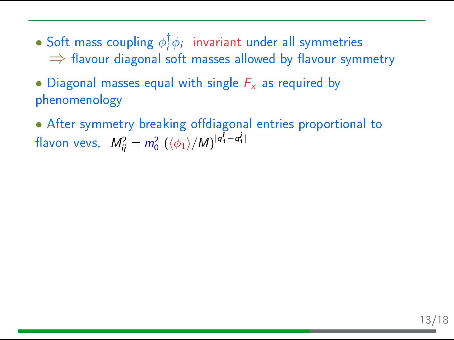- Soft mass coupling  $\phi_i^{\dagger}$  $\frac{1}{l}\phi_{i}$  invariant under all symmetries  $\Rightarrow$  flavour diagonal soft masses allowed by flavour symmetry
- Diagonal masses equal with single  $F_x$  as required by phenomenology
- After symmetry breaking offdiagonal entries proportional to flavon vevs,  $M_{ij}^2 = m_0^2 \left( \langle \phi_1 \rangle / M \right)^{|q_1^i - q_1^j|}$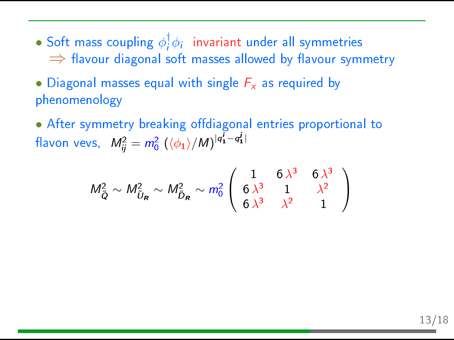- Soft mass coupling  $\phi_i^{\dagger}$  $\frac{1}{l}\phi_{i}$  invariant under all symmetries  $\Rightarrow$  flavour diagonal soft masses allowed by flavour symmetry
- Diagonal masses equal with single  $F_x$  as required by phenomenology
- After symmetry breaking offdiagonal entries proportional to flavon vevs,  $M_{ij}^2 = m_0^2 \left( \langle \phi_1 \rangle / M \right)^{|q_1^i - q_1^j|}$

$$
M_{\tilde{Q}}^2 \sim M_{\tilde{U}_R}^2 \sim M_{\tilde{D}_R}^2 \sim m_0^2 \left( \begin{array}{ccc} 1 & 6 \lambda^3 & 6 \lambda^3 \\ 6 \lambda^3 & 1 & \lambda^2 \\ 6 \lambda^3 & \lambda^2 & 1 \end{array} \right)
$$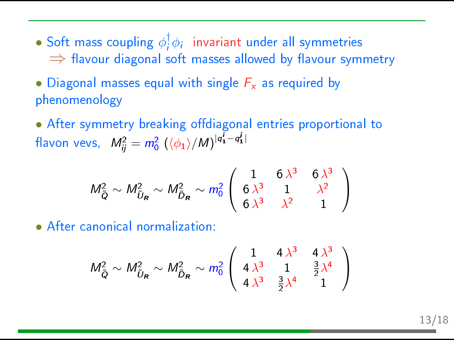- Soft mass coupling  $\phi_i^{\dagger}$  $\frac{1}{l}\phi_{i}$  invariant under all symmetries  $\Rightarrow$  flavour diagonal soft masses allowed by flavour symmetry
- Diagonal masses equal with single  $F_x$  as required by phenomenology
- After symmetry breaking offdiagonal entries proportional to flavon vevs,  $M_{ij}^2 = m_0^2 \left( \langle \phi_1 \rangle / M \right)^{|q_1^i - q_1^j|}$

$$
M_{\tilde{Q}}^2 \sim M_{\tilde{U}_R}^2 \sim M_{\tilde{D}_R}^2 \sim m_0^2 \left( \begin{array}{ccc} 1 & 6 \lambda^3 & 6 \lambda^3 \\ 6 \lambda^3 & 1 & \lambda^2 \\ 6 \lambda^3 & \lambda^2 & 1 \end{array} \right)
$$

• After canonical normalization:

$$
M_{\tilde{Q}}^2 \sim M_{\tilde{U}_R}^2 \sim M_{\tilde{D}_R}^2 \sim m_0^2 \left( \begin{array}{ccc} 1 & 4\lambda^3 & 4\lambda^3 \\ 4\lambda^3 & 1 & \frac{3}{2}\lambda^4 \\ 4\lambda^3 & \frac{3}{2}\lambda^4 & 1 \end{array} \right)
$$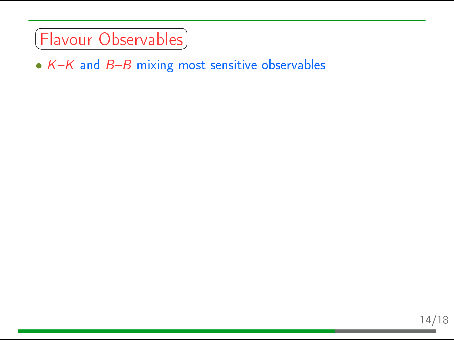#### ✞ ✝ Flavour Observables

•  $K-\overline{K}$  and  $B-\overline{B}$  mixing most sensitive observables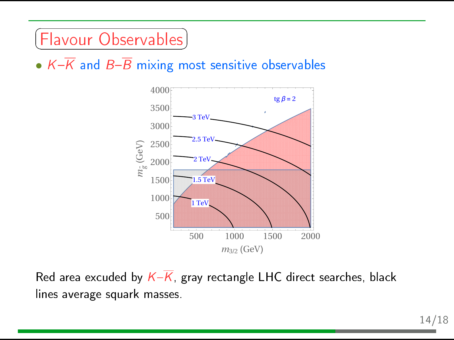#### ✞  $[Flavour~Observables]$ ☎

•  $K-\overline{K}$  and  $B-\overline{B}$  mixing most sensitive observables



Red area excuded by  $K-\overline{K}$ , gray rectangle LHC direct searches, black lines average squark masses.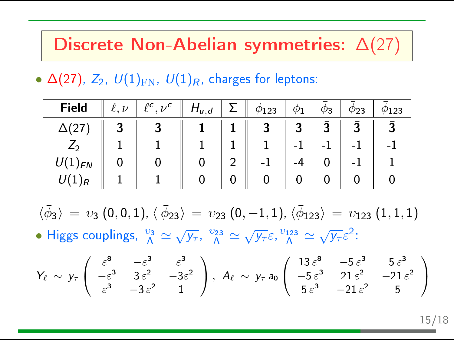### Discrete Non-Abelian symmetries: ∆(27)

•  $\Delta(27)$ ,  $Z_2$ ,  $U(1)_{\text{FN}}$ ,  $U(1)_R$ , charges for leptons:

| Field     | $\overline{ }$ | $ho_{c_1,c}$ | $H_{u,d}$ | '123 |   | دے | 23 |
|-----------|----------------|--------------|-----------|------|---|----|----|
|           | ∽              |              |           |      | ∍ | Э  |    |
|           |                |              |           |      |   |    |    |
| <b>FN</b> |                |              |           |      |   |    |    |
|           |                |              |           |      |   |    |    |

 $\langle \bar{\phi}_3 \rangle \, = \, v_3 \, (0,0,1)$ ,  $\langle \, \bar{\phi}_{23} \rangle \, = \, v_{23} \, (0,-1,1)$ ,  $\langle \bar{\phi}_{123} \rangle \, = \, v_{123} \, (1,1,1)$ • Higgs couplings,  $\frac{\upsilon_3}{\Lambda} \simeq \sqrt{y_\tau}, \frac{\upsilon_{23}}{\Lambda} \simeq \sqrt{y_\tau} \varepsilon, \frac{\upsilon_{123}}{\Lambda} \simeq \sqrt{y_\tau} \varepsilon^2$ :

$$
Y_{\ell} \sim y_{\tau} \begin{pmatrix} \varepsilon^{8} & -\varepsilon^{3} & \varepsilon^{3} \\ -\varepsilon^{3} & 3\varepsilon^{2} & -3\varepsilon^{2} \\ \varepsilon^{3} & -3\varepsilon^{2} & 1 \end{pmatrix}, A_{\ell} \sim y_{\tau} a_{0} \begin{pmatrix} 13 \varepsilon^{8} & -5\varepsilon^{3} & 5\varepsilon^{3} \\ -5\varepsilon^{3} & 21\varepsilon^{2} & -21\varepsilon^{2} \\ 5\varepsilon^{3} & -21\varepsilon^{2} & 5 \end{pmatrix}
$$

15/18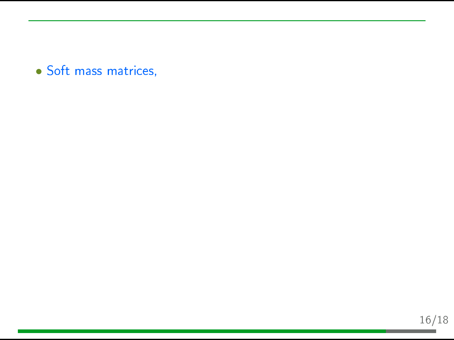• Soft mass matrices,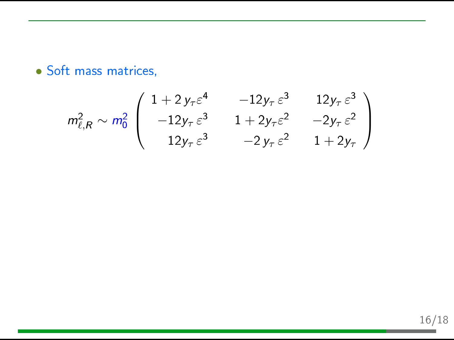• Soft mass matrices,

$$
m_{\ell,R}^2 \sim m_0^2 \begin{pmatrix} 1+2y_\tau \varepsilon^4 & -12y_\tau \varepsilon^3 & 12y_\tau \varepsilon^3 \\ -12y_\tau \varepsilon^3 & 1+2y_\tau \varepsilon^2 & -2y_\tau \varepsilon^2 \\ 12y_\tau \varepsilon^3 & -2y_\tau \varepsilon^2 & 1+2y_\tau \end{pmatrix}
$$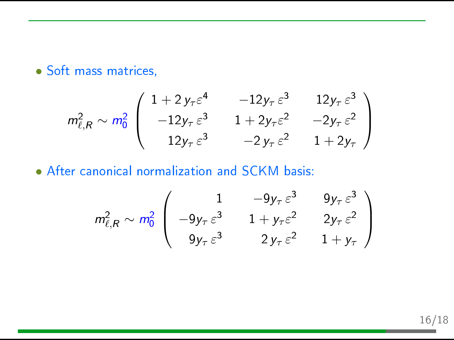• Soft mass matrices,

$$
m_{\ell,R}^2 \sim m_0^2 \begin{pmatrix} 1+2y_\tau \varepsilon^4 & -12y_\tau \varepsilon^3 & 12y_\tau \varepsilon^3 \\ -12y_\tau \varepsilon^3 & 1+2y_\tau \varepsilon^2 & -2y_\tau \varepsilon^2 \\ 12y_\tau \varepsilon^3 & -2y_\tau \varepsilon^2 & 1+2y_\tau \end{pmatrix}
$$

• After canonical normalization and SCKM basis:

$$
m_{\ell,R}^2 \sim m_0^2 \begin{pmatrix} 1 & -9y_\tau \varepsilon^3 & 9y_\tau \varepsilon^3 \\ -9y_\tau \varepsilon^3 & 1 + y_\tau \varepsilon^2 & 2y_\tau \varepsilon^2 \\ 9y_\tau \varepsilon^3 & 2y_\tau \varepsilon^2 & 1 + y_\tau \end{pmatrix}
$$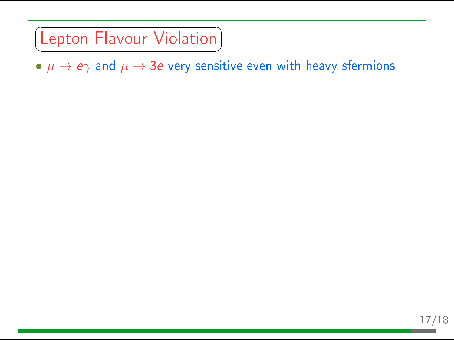### Lepton Flavour Violation ✝

✆  $\bullet \mu \rightarrow e\gamma$  and  $\mu \rightarrow 3e$  very sensitive even with heavy sfermions

☎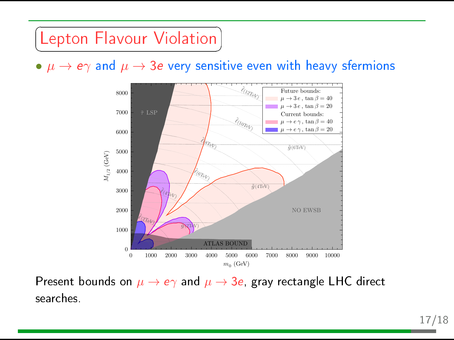### Lepton Flavour Violation ✝

 $\bullet~\mu \rightarrow e \gamma$  and  $\mu \rightarrow 3e$  very sensitive even with heavy sfermions

☎ ✆



Present bounds on  $\mu \to e\gamma$  and  $\mu \to 3e$ , gray rectangle LHC direct searches.